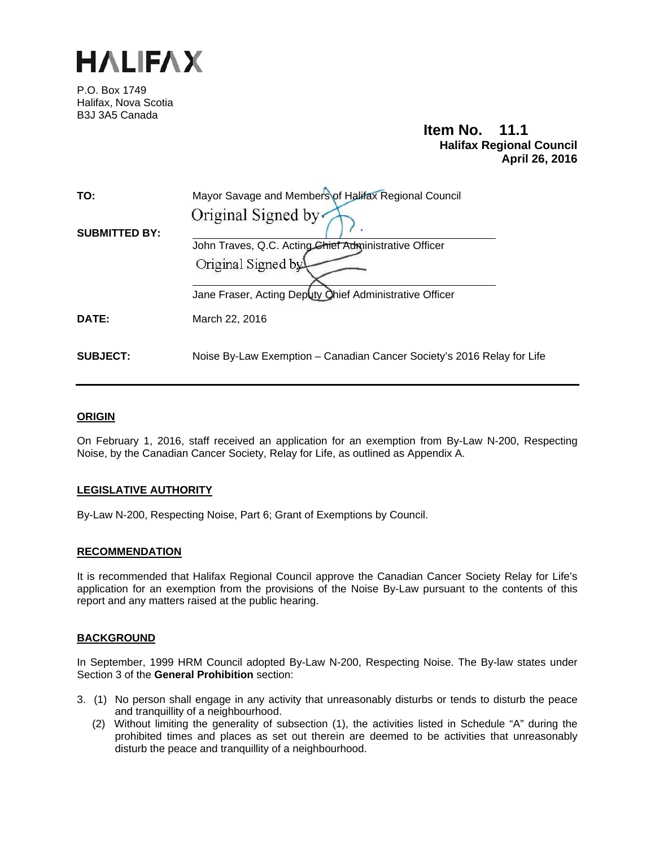

P.O. Box 1749 Halifax, Nova Scotia B3J 3A5 Canada

**Item No. 11.1 Halifax Regional Council April 26, 2016** 

| TO:                  | Mayor Savage and Members of Halifax Regional Council                          |
|----------------------|-------------------------------------------------------------------------------|
| <b>SUBMITTED BY:</b> | Original Signed by<br>John Traves, Q.C. Acting Chief Administrative Officer   |
|                      | Original Signed by<br>Jane Fraser, Acting Deputy Ohief Administrative Officer |
| DATE:                | March 22, 2016                                                                |
| <b>SUBJECT:</b>      | Noise By-Law Exemption – Canadian Cancer Society's 2016 Relay for Life        |

#### **ORIGIN**

On February 1, 2016, staff received an application for an exemption from By-Law N-200, Respecting Noise, by the Canadian Cancer Society, Relay for Life, as outlined as Appendix A.

#### **LEGISLATIVE AUTHORITY**

By-Law N-200, Respecting Noise, Part 6; Grant of Exemptions by Council.

#### **RECOMMENDATION**

It is recommended that Halifax Regional Council approve the Canadian Cancer Society Relay for Life's application for an exemption from the provisions of the Noise By-Law pursuant to the contents of this report and any matters raised at the public hearing.

#### **BACKGROUND**

In September, 1999 HRM Council adopted By-Law N-200, Respecting Noise. The By-law states under Section 3 of the **General Prohibition** section:

- 3. (1) No person shall engage in any activity that unreasonably disturbs or tends to disturb the peace and tranquillity of a neighbourhood.
	- (2) Without limiting the generality of subsection (1), the activities listed in Schedule "A" during the prohibited times and places as set out therein are deemed to be activities that unreasonably disturb the peace and tranquillity of a neighbourhood.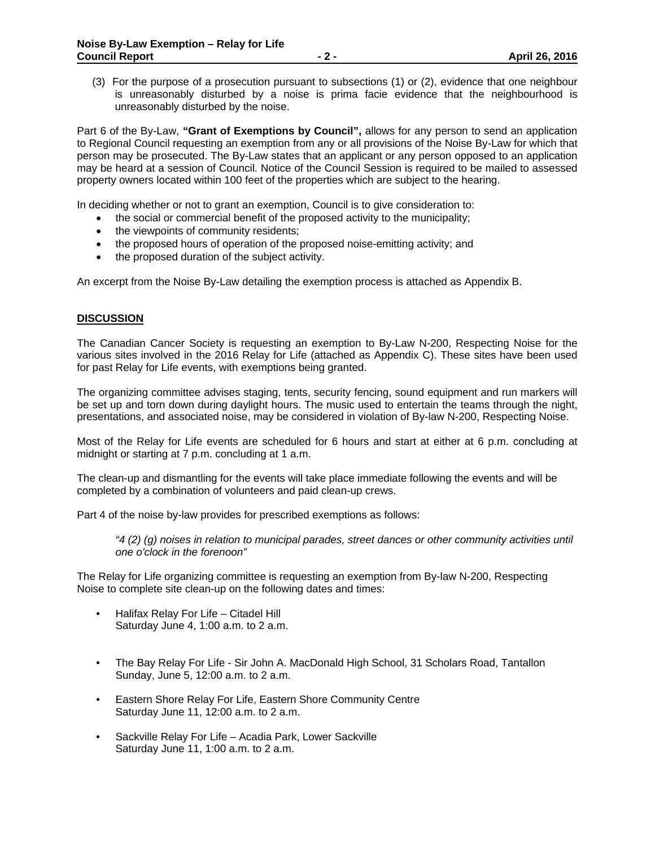(3) For the purpose of a prosecution pursuant to subsections (1) or (2), evidence that one neighbour is unreasonably disturbed by a noise is prima facie evidence that the neighbourhood is unreasonably disturbed by the noise.

Part 6 of the By-Law, **"Grant of Exemptions by Council",** allows for any person to send an application to Regional Council requesting an exemption from any or all provisions of the Noise By-Law for which that person may be prosecuted. The By-Law states that an applicant or any person opposed to an application may be heard at a session of Council. Notice of the Council Session is required to be mailed to assessed property owners located within 100 feet of the properties which are subject to the hearing.

In deciding whether or not to grant an exemption, Council is to give consideration to:

- the social or commercial benefit of the proposed activity to the municipality;
- the viewpoints of community residents;
- the proposed hours of operation of the proposed noise-emitting activity; and
- the proposed duration of the subject activity.

An excerpt from the Noise By-Law detailing the exemption process is attached as Appendix B.

#### **DISCUSSION**

The Canadian Cancer Society is requesting an exemption to By-Law N-200, Respecting Noise for the various sites involved in the 2016 Relay for Life (attached as Appendix C). These sites have been used for past Relay for Life events, with exemptions being granted.

The organizing committee advises staging, tents, security fencing, sound equipment and run markers will be set up and torn down during daylight hours. The music used to entertain the teams through the night, presentations, and associated noise, may be considered in violation of By-law N-200, Respecting Noise.

Most of the Relay for Life events are scheduled for 6 hours and start at either at 6 p.m. concluding at midnight or starting at 7 p.m. concluding at 1 a.m.

The clean-up and dismantling for the events will take place immediate following the events and will be completed by a combination of volunteers and paid clean-up crews.

Part 4 of the noise by-law provides for prescribed exemptions as follows:

*"4 (2) (g) noises in relation to municipal parades, street dances or other community activities until one o'clock in the forenoon"* 

The Relay for Life organizing committee is requesting an exemption from By-law N-200, Respecting Noise to complete site clean-up on the following dates and times:

- Halifax Relay For Life Citadel Hill Saturday June 4, 1:00 a.m. to 2 a.m.
- The Bay Relay For Life Sir John A. MacDonald High School, 31 Scholars Road, Tantallon Sunday, June 5, 12:00 a.m. to 2 a.m.
- Eastern Shore Relay For Life, Eastern Shore Community Centre Saturday June 11, 12:00 a.m. to 2 a.m.
- Sackville Relay For Life Acadia Park, Lower Sackville Saturday June 11, 1:00 a.m. to 2 a.m.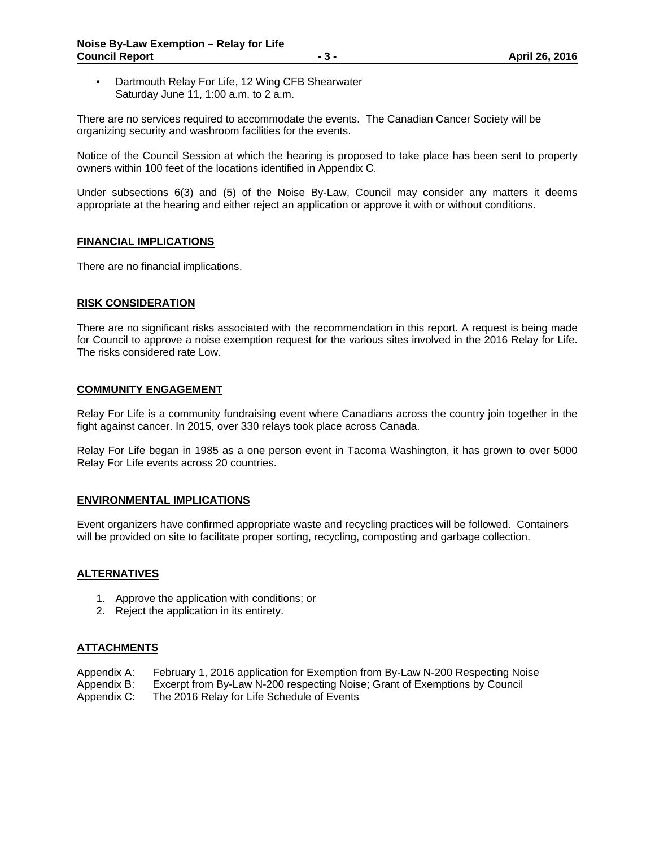• Dartmouth Relay For Life, 12 Wing CFB Shearwater Saturday June 11, 1:00 a.m. to 2 a.m.

There are no services required to accommodate the events. The Canadian Cancer Society will be organizing security and washroom facilities for the events.

Notice of the Council Session at which the hearing is proposed to take place has been sent to property owners within 100 feet of the locations identified in Appendix C.

Under subsections 6(3) and (5) of the Noise By-Law, Council may consider any matters it deems appropriate at the hearing and either reject an application or approve it with or without conditions.

#### **FINANCIAL IMPLICATIONS**

There are no financial implications.

#### **RISK CONSIDERATION**

There are no significant risks associated with the recommendation in this report. A request is being made for Council to approve a noise exemption request for the various sites involved in the 2016 Relay for Life. The risks considered rate Low.

#### **COMMUNITY ENGAGEMENT**

Relay For Life is a community fundraising event where Canadians across the country join together in the fight against cancer. In 2015, over 330 relays took place across Canada.

Relay For Life began in 1985 as a one person event in Tacoma Washington, it has grown to over 5000 Relay For Life events across 20 countries.

#### **ENVIRONMENTAL IMPLICATIONS**

Event organizers have confirmed appropriate waste and recycling practices will be followed. Containers will be provided on site to facilitate proper sorting, recycling, composting and garbage collection.

#### **ALTERNATIVES**

- 1. Approve the application with conditions; or
- 2. Reject the application in its entirety.

#### **ATTACHMENTS**

- Appendix A: February 1, 2016 application for Exemption from By-Law N-200 Respecting Noise
- Appendix B: Excerpt from By-Law N-200 respecting Noise; Grant of Exemptions by Council
- Appendix C: The 2016 Relay for Life Schedule of Events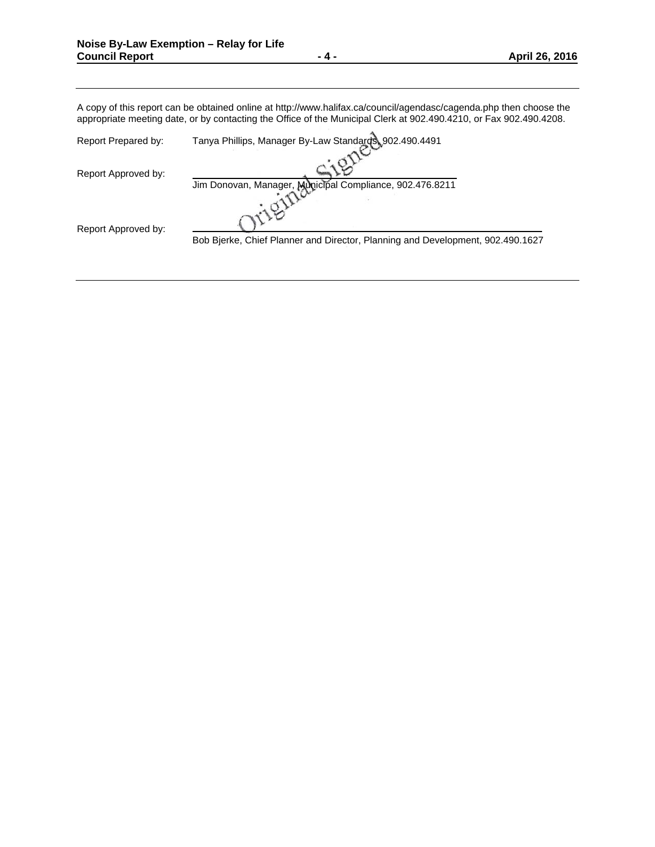A copy of this report can be obtained online at http://www.halifax.ca/council/agendasc/cagenda.php then choose the appropriate meeting date, or by contacting the Office of the Municipal Clerk at 902.490.4210, or Fax 902.490.4208.

| Report Prepared by: | Tanya Phillips, Manager By-Law Standards, 902.490.4491                         |
|---------------------|--------------------------------------------------------------------------------|
| Report Approved by: | Jim Donovan, Manager, Municipal Compliance, 902.476.8211                       |
| Report Approved by: | Bob Bierke, Chief Planner and Director, Planning and Development, 902.490.1627 |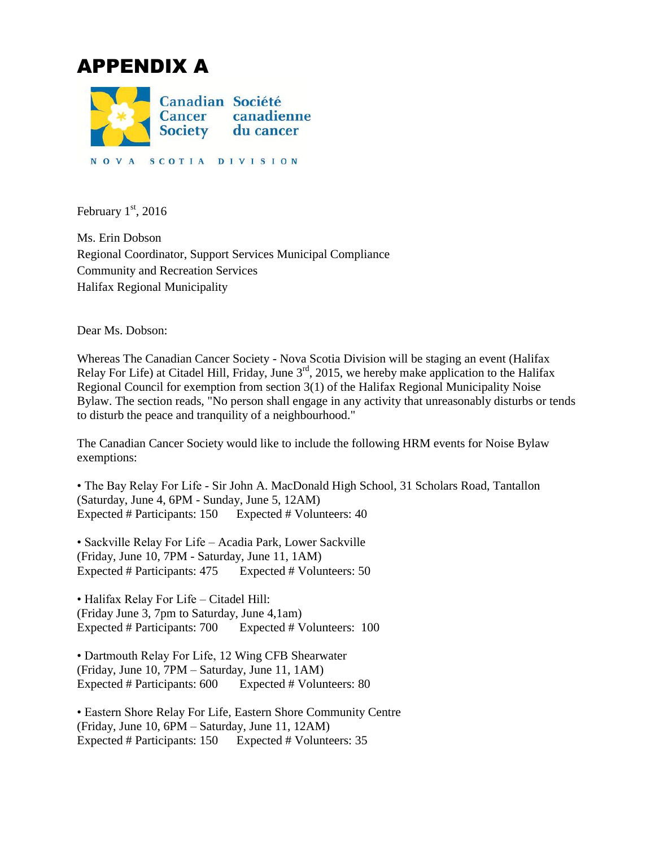# APPENDIX A



February  $1<sup>st</sup>$ , 2016

Ms. Erin Dobson Regional Coordinator, Support Services Municipal Compliance Community and Recreation Services Halifax Regional Municipality

Dear Ms. Dobson:

Whereas The Canadian Cancer Society - Nova Scotia Division will be staging an event (Halifax Relay For Life) at Citadel Hill, Friday, June  $3<sup>rd</sup>$ , 2015, we hereby make application to the Halifax Regional Council for exemption from section 3(1) of the Halifax Regional Municipality Noise Bylaw. The section reads, "No person shall engage in any activity that unreasonably disturbs or tends to disturb the peace and tranquility of a neighbourhood."

The Canadian Cancer Society would like to include the following HRM events for Noise Bylaw exemptions:

• The Bay Relay For Life - Sir John A. MacDonald High School, 31 Scholars Road, Tantallon (Saturday, June 4, 6PM - Sunday, June 5, 12AM) Expected # Participants: 150 Expected # Volunteers: 40

• Sackville Relay For Life – Acadia Park, Lower Sackville (Friday, June 10, 7PM - Saturday, June 11, 1AM) Expected # Participants: 475 Expected # Volunteers: 50

• Halifax Relay For Life – Citadel Hill: (Friday June 3, 7pm to Saturday, June 4,1am) Expected # Participants: 700 Expected # Volunteers: 100

• Dartmouth Relay For Life, 12 Wing CFB Shearwater (Friday, June 10, 7PM – Saturday, June 11, 1AM) Expected # Participants: 600 Expected # Volunteers: 80

• Eastern Shore Relay For Life, Eastern Shore Community Centre (Friday, June 10, 6PM – Saturday, June 11, 12AM) Expected # Participants: 150 Expected # Volunteers: 35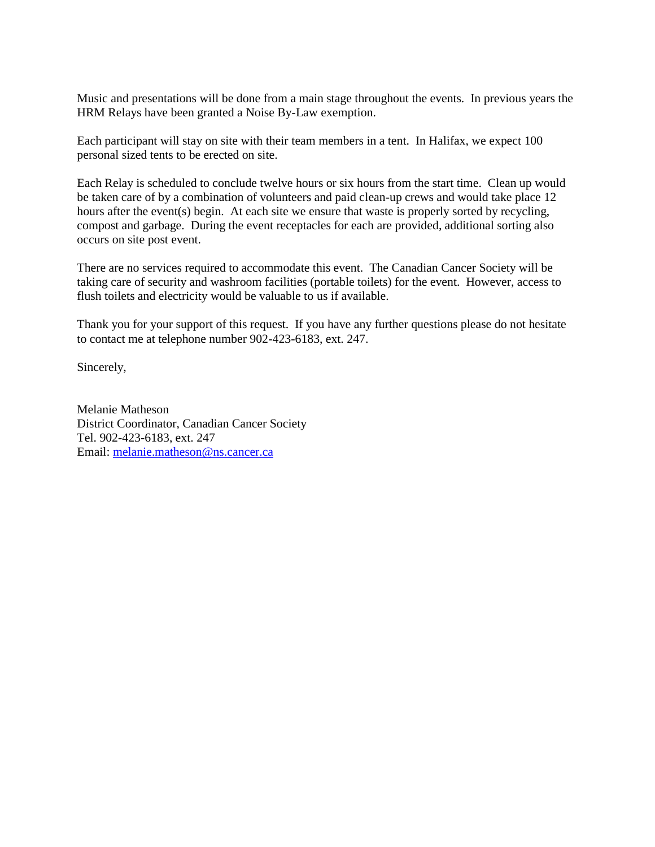Music and presentations will be done from a main stage throughout the events. In previous years the HRM Relays have been granted a Noise By-Law exemption.

Each participant will stay on site with their team members in a tent. In Halifax, we expect 100 personal sized tents to be erected on site.

Each Relay is scheduled to conclude twelve hours or six hours from the start time. Clean up would be taken care of by a combination of volunteers and paid clean-up crews and would take place 12 hours after the event(s) begin. At each site we ensure that waste is properly sorted by recycling, compost and garbage. During the event receptacles for each are provided, additional sorting also occurs on site post event.

There are no services required to accommodate this event. The Canadian Cancer Society will be taking care of security and washroom facilities (portable toilets) for the event. However, access to flush toilets and electricity would be valuable to us if available.

Thank you for your support of this request. If you have any further questions please do not hesitate to contact me at telephone number 902-423-6183, ext. 247.

Sincerely,

Melanie Matheson District Coordinator, Canadian Cancer Society Tel. 902-423-6183, ext. 247 Email: [melanie.matheson@ns.cancer.ca](mailto:melanie.matheson@ns.cancer.ca)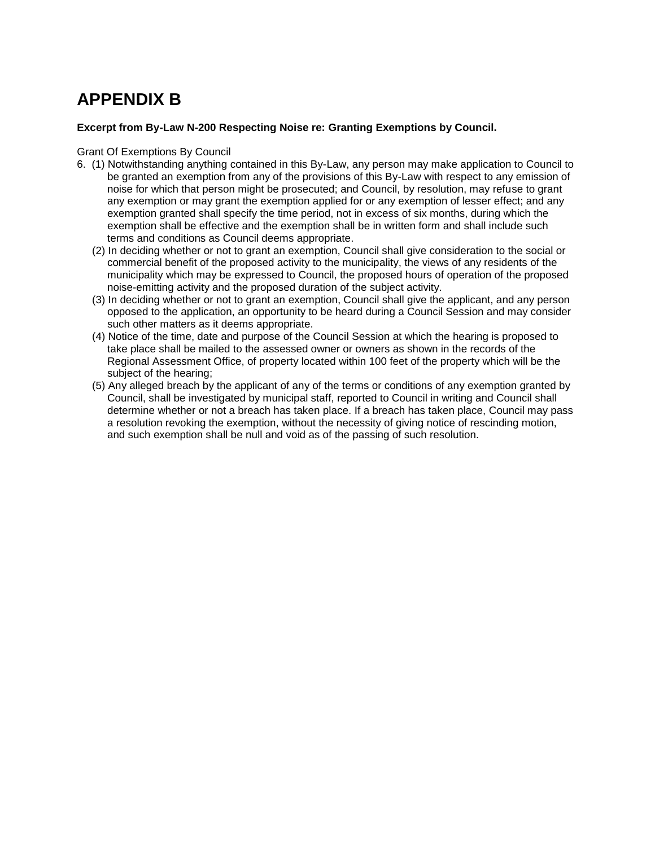### **APPENDIX B**

#### **Excerpt from By-Law N-200 Respecting Noise re: Granting Exemptions by Council.**

#### Grant Of Exemptions By Council

- 6. (1) Notwithstanding anything contained in this By-Law, any person may make application to Council to be granted an exemption from any of the provisions of this By-Law with respect to any emission of noise for which that person might be prosecuted; and Council, by resolution, may refuse to grant any exemption or may grant the exemption applied for or any exemption of lesser effect; and any exemption granted shall specify the time period, not in excess of six months, during which the exemption shall be effective and the exemption shall be in written form and shall include such terms and conditions as Council deems appropriate.
	- (2) In deciding whether or not to grant an exemption, Council shall give consideration to the social or commercial benefit of the proposed activity to the municipality, the views of any residents of the municipality which may be expressed to Council, the proposed hours of operation of the proposed noise-emitting activity and the proposed duration of the subject activity.
	- (3) In deciding whether or not to grant an exemption, Council shall give the applicant, and any person opposed to the application, an opportunity to be heard during a Council Session and may consider such other matters as it deems appropriate.
	- (4) Notice of the time, date and purpose of the Council Session at which the hearing is proposed to take place shall be mailed to the assessed owner or owners as shown in the records of the Regional Assessment Office, of property located within 100 feet of the property which will be the subject of the hearing;
	- (5) Any alleged breach by the applicant of any of the terms or conditions of any exemption granted by Council, shall be investigated by municipal staff, reported to Council in writing and Council shall determine whether or not a breach has taken place. If a breach has taken place, Council may pass a resolution revoking the exemption, without the necessity of giving notice of rescinding motion, and such exemption shall be null and void as of the passing of such resolution.